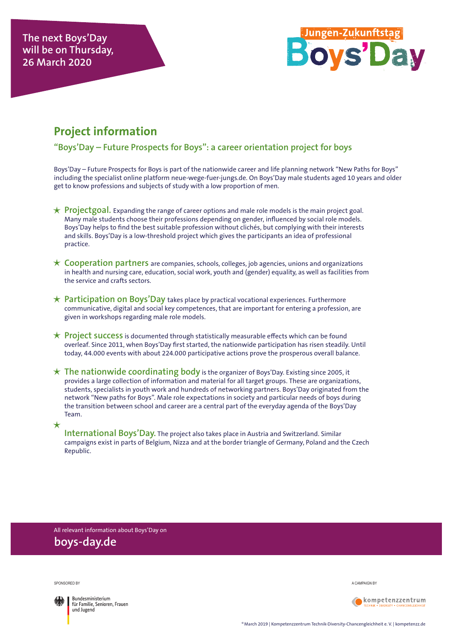

## **Project information**

**"Boys'Day – Future Prospects for Boys": a career orientation project for boys**

Boys'Day – Future Prospects for Boys is part of the nationwide career and life planning network "New Paths for Boys" including the specialist online platform neue-wege-fuer-jungs.de. On Boys'Day male students aged 10 years and older get to know professions and subjects of study with a low proportion of men.

- $\star$  **Projectgoal.** Expanding the range of career options and male role models is the main project goal. Many male students choose their professions depending on gender, influenced by social role models. Boys'Day helps to find the best suitable profession without clichés, but complying with their interests and skills. Boys'Day is a low-threshold project which gives the participants an idea of professional practice.
- **Cooperation partners** are companies, schools, colleges, job agencies, unions and organizations in health and nursing care, education, social work, youth and (gender) equality, as well as facilities from the service and crafts sectors.
- **Participation on Boys'Day** takes place by practical vocational experiences. Furthermore communicative, digital and social key competences, that are important for entering a profession, are given in workshops regarding male role models.
- **Project success** is documented through statistically measurable effects which can be found overleaf. Since 2011, when Boys'Day first started, the nationwide participation has risen steadily. Until today, 44.000 events with about 224.000 participative actions prove the prosperous overall balance.
- **The nationwide coordinating body** is the organizer of Boys'Day. Existing since 2005, it provides a large collection of information and material for all target groups. These are organizations, students, specialists in youth work and hundreds of networking partners. Boys'Day originated from the network "New paths for Boys". Male role expectations in society and particular needs of boys during the transition between school and career are a central part of the everyday agenda of the Boys'Day Team.
	- **International Boys'Day.** The project also takes place in Austria and Switzerland. Similar campaigns exist in parts of Belgium, Nizza and at the border triangle of Germany, Poland and the Czech Republic.

All relevant information about Boys'Day on **boys-day.de**

Sponsored by



 $\star$ 

**Bundesministerium** für Familie, Senioren, Frauen und Jugend

A campaign by